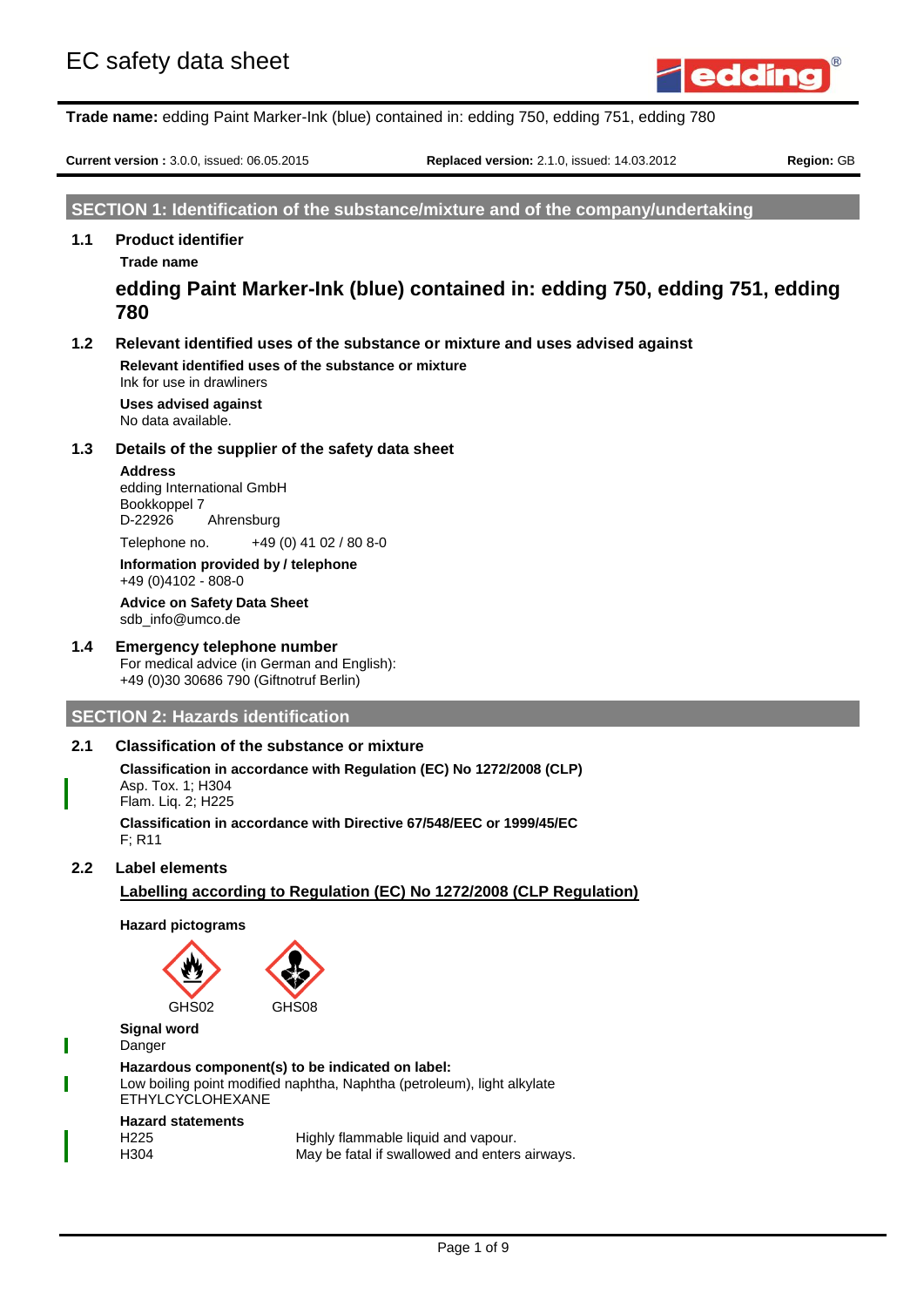

**Current version :** 3.0.0, issued: 06.05.2015 **Replaced version:** 2.1.0, issued: 14.03.2012 **Region:** GB

## **SECTION 1: Identification of the substance/mixture and of the company/undertaking**

## **1.1 Product identifier**

**Trade name**

**edding Paint Marker-Ink (blue) contained in: edding 750, edding 751, edding 780**

## **1.2 Relevant identified uses of the substance or mixture and uses advised against**

**Relevant identified uses of the substance or mixture** Ink for use in drawliners

**Uses advised against** No data available.

#### **1.3 Details of the supplier of the safety data sheet**

#### **Address**

edding International GmbH Bookkoppel 7<br>D-22926 Ahrensburg

Telephone no. +49 (0) 41 02 / 80 8-0

**Information provided by / telephone** +49 (0)4102 - 808-0

#### **Advice on Safety Data Sheet** sdb\_info@umco.de

## **1.4 Emergency telephone number**

For medical advice (in German and English): +49 (0)30 30686 790 (Giftnotruf Berlin)

## **SECTION 2: Hazards identification**

## **2.1 Classification of the substance or mixture**

**Classification in accordance with Regulation (EC) No 1272/2008 (CLP)** Asp. Tox. 1; H304 Flam. Liq. 2; H225

**Classification in accordance with Directive 67/548/EEC or 1999/45/EC** F; R11

**2.2 Label elements**

## **Labelling according to Regulation (EC) No 1272/2008 (CLP Regulation)**

**Hazard pictograms**

GHS<sub>02</sub>



**Signal word** Danger **Hazardous component(s) to be indicated on label:** Low boiling point modified naphtha, Naphtha (petroleum), light alkylate ETHYLCYCLOHEXANE **Hazard statements**

| H <sub>225</sub> | Highly flammable liquid and vapour.           |
|------------------|-----------------------------------------------|
| H304             | May be fatal if swallowed and enters airways. |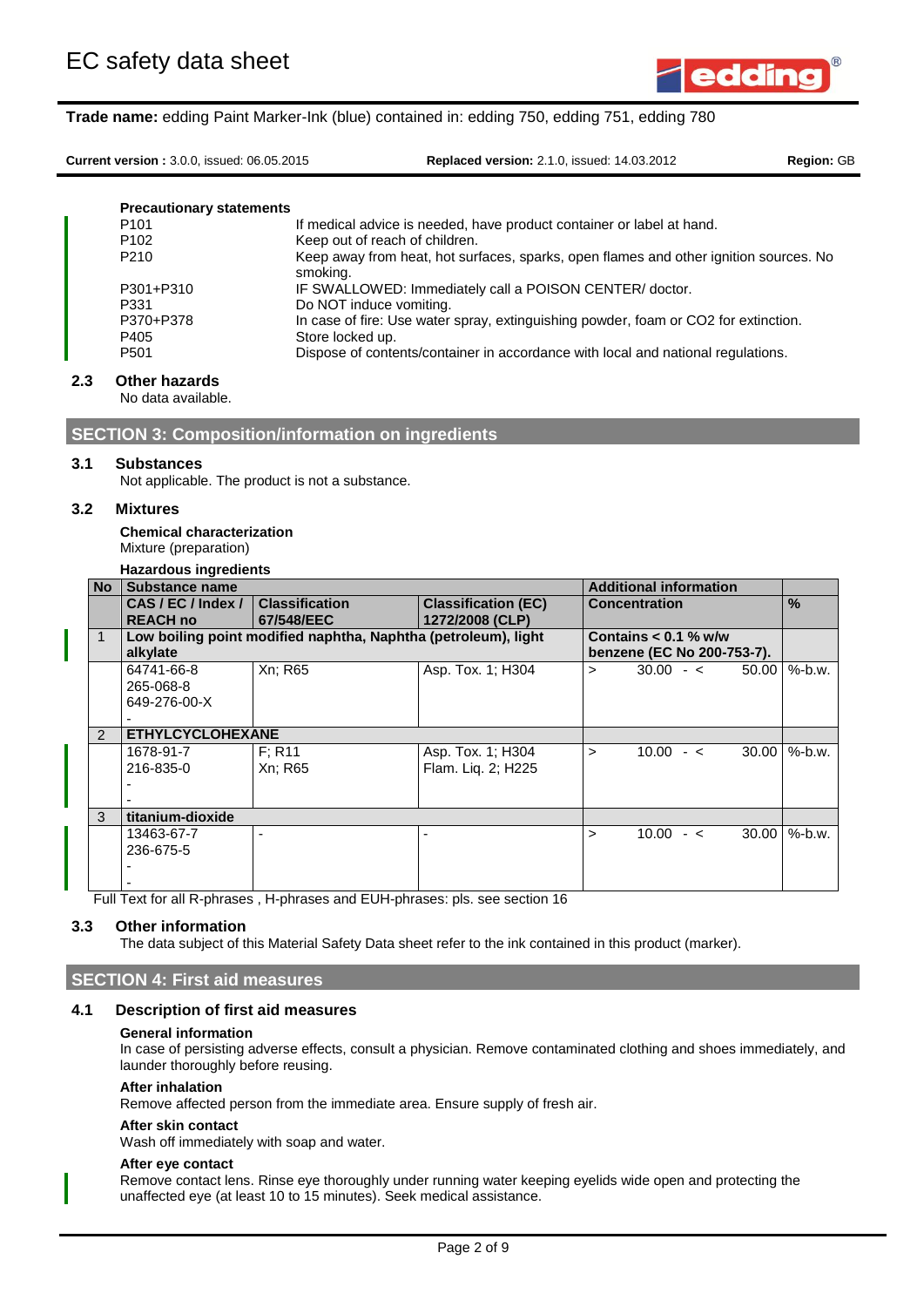

**Current version :** 3.0.0, issued: 06.05.2015 **Replaced version:** 2.1.0, issued: 14.03.2012 **Region:** GB

| <b>Precautionary statements</b> |                                                                                                   |
|---------------------------------|---------------------------------------------------------------------------------------------------|
| P <sub>101</sub>                | If medical advice is needed, have product container or label at hand.                             |
| P <sub>102</sub>                | Keep out of reach of children.                                                                    |
| P <sub>210</sub>                | Keep away from heat, hot surfaces, sparks, open flames and other ignition sources. No<br>smoking. |
| P301+P310                       | IF SWALLOWED: Immediately call a POISON CENTER/ doctor.                                           |
| P331                            | Do NOT induce vomiting.                                                                           |
| P370+P378                       | In case of fire: Use water spray, extinguishing powder, foam or CO2 for extinction.               |
| P405                            | Store locked up.                                                                                  |
| P <sub>501</sub>                | Dispose of contents/container in accordance with local and national regulations.                  |

## **2.3 Other hazards**

No data available.

**SECTION 3: Composition/information on ingredients**

#### **3.1 Substances**

Not applicable. The product is not a substance.

#### **3.2 Mixtures**

**Chemical characterization** Mixture (preparation)

#### **Hazardous ingredients**

| <b>No</b>     | Substance name                   |                                                                |                                               |        | <b>Additional information</b> |         |               |
|---------------|----------------------------------|----------------------------------------------------------------|-----------------------------------------------|--------|-------------------------------|---------|---------------|
|               | CAS/EC/Index/<br><b>REACH no</b> | <b>Classification</b><br>67/548/EEC                            | <b>Classification (EC)</b><br>1272/2008 (CLP) |        | <b>Concentration</b>          |         | $\frac{0}{0}$ |
|               |                                  | Low boiling point modified naphtha, Naphtha (petroleum), light |                                               |        | Contains $< 0.1$ % w/w        |         |               |
|               | alkylate                         |                                                                |                                               |        | benzene (EC No 200-753-7).    |         |               |
|               | 64741-66-8                       | Xn; R65                                                        | Asp. Tox. 1: H304                             | $\geq$ | $30.00 - 5$                   | 50.00   | $%$ -b.w.     |
|               | 265-068-8                        |                                                                |                                               |        |                               |         |               |
|               | 649-276-00-X                     |                                                                |                                               |        |                               |         |               |
|               |                                  |                                                                |                                               |        |                               |         |               |
| $\mathcal{P}$ | <b>ETHYLCYCLOHEXANE</b>          |                                                                |                                               |        |                               |         |               |
|               | 1678-91-7                        | F: R11                                                         | Asp. Tox. 1; H304                             | $\geq$ | $10.00 - c$                   | 30.00   | $%$ -b.w.     |
|               | 216-835-0                        | Xn; R65                                                        | Flam. Lig. 2; H225                            |        |                               |         |               |
|               |                                  |                                                                |                                               |        |                               |         |               |
|               |                                  |                                                                |                                               |        |                               |         |               |
| 3             | titanium-dioxide                 |                                                                |                                               |        |                               |         |               |
|               | 13463-67-7                       |                                                                | -                                             | ↘      | $10.00 - c$                   | 30.00 l | $%$ -b.w.     |
|               | 236-675-5                        |                                                                |                                               |        |                               |         |               |
|               |                                  |                                                                |                                               |        |                               |         |               |
|               |                                  |                                                                |                                               |        |                               |         |               |

Full Text for all R-phrases , H-phrases and EUH-phrases: pls. see section 16

#### **3.3 Other information**

The data subject of this Material Safety Data sheet refer to the ink contained in this product (marker).

## **SECTION 4: First aid measures**

### **4.1 Description of first aid measures**

#### **General information**

In case of persisting adverse effects, consult a physician. Remove contaminated clothing and shoes immediately, and launder thoroughly before reusing.

#### **After inhalation**

Remove affected person from the immediate area. Ensure supply of fresh air.

### **After skin contact**

Wash off immediately with soap and water.

#### **After eye contact**

Remove contact lens. Rinse eye thoroughly under running water keeping eyelids wide open and protecting the unaffected eye (at least 10 to 15 minutes). Seek medical assistance.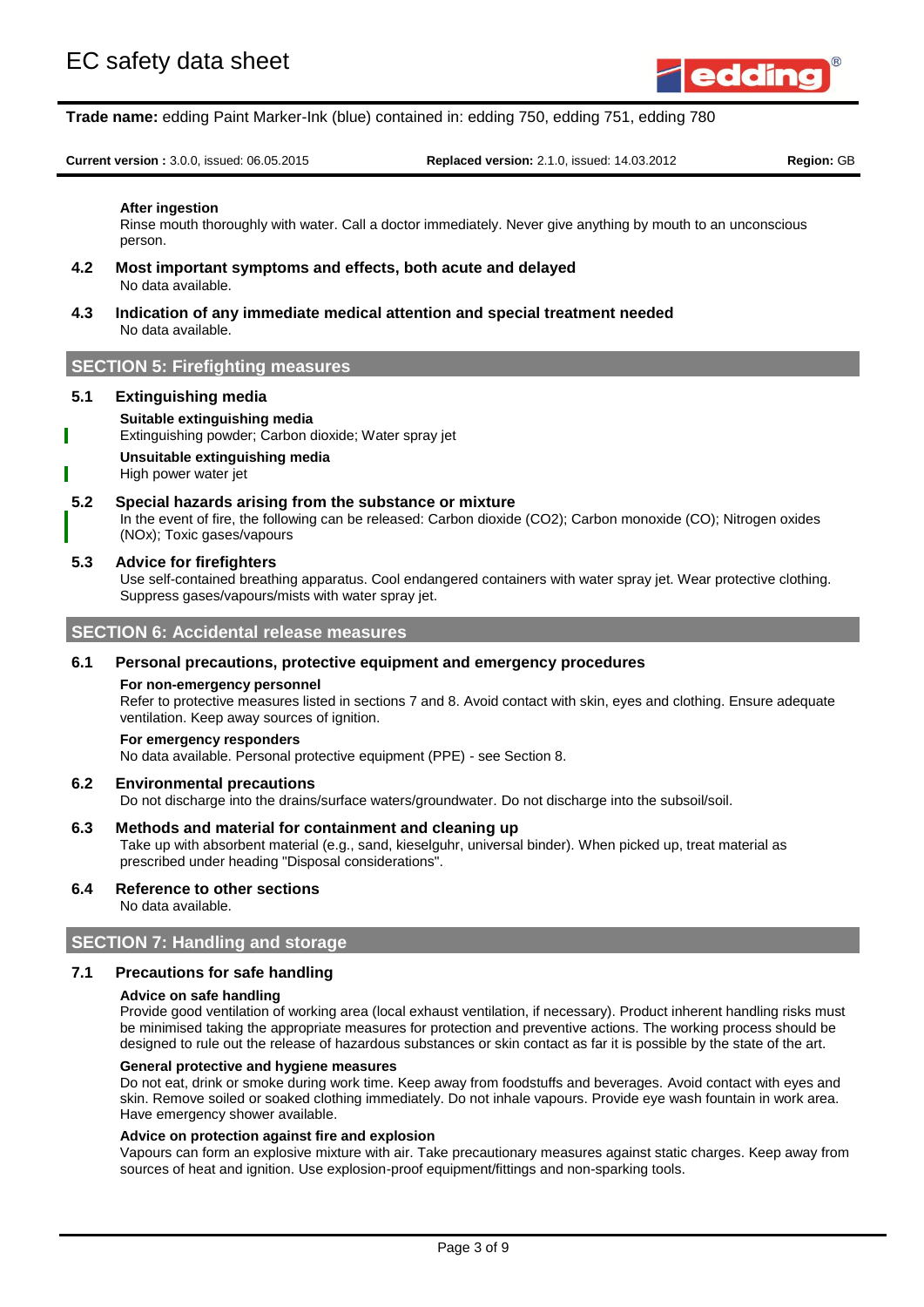

**Current version :** 3.0.0, issued: 06.05.2015 **Replaced version:** 2.1.0, issued: 14.03.2012 **Region:** GB

#### **After ingestion**

Rinse mouth thoroughly with water. Call a doctor immediately. Never give anything by mouth to an unconscious person.

- **4.2 Most important symptoms and effects, both acute and delayed** No data available.
- **4.3 Indication of any immediate medical attention and special treatment needed** No data available.

## **SECTION 5: Firefighting measures**

#### **5.1 Extinguishing media**

#### **Suitable extinguishing media**

- Extinguishing powder; Carbon dioxide; Water spray jet
- **Unsuitable extinguishing media**

#### High power water jet

#### **5.2 Special hazards arising from the substance or mixture**

In the event of fire, the following can be released: Carbon dioxide (CO2); Carbon monoxide (CO); Nitrogen oxides (NOx); Toxic gases/vapours

#### **5.3 Advice for firefighters**

Use self-contained breathing apparatus. Cool endangered containers with water spray jet. Wear protective clothing. Suppress gases/vapours/mists with water spray jet.

## **SECTION 6: Accidental release measures**

#### **6.1 Personal precautions, protective equipment and emergency procedures**

#### **For non-emergency personnel**

Refer to protective measures listed in sections 7 and 8. Avoid contact with skin, eyes and clothing. Ensure adequate ventilation. Keep away sources of ignition.

#### **For emergency responders**

No data available. Personal protective equipment (PPE) - see Section 8.

#### **6.2 Environmental precautions**

Do not discharge into the drains/surface waters/groundwater. Do not discharge into the subsoil/soil.

#### **6.3 Methods and material for containment and cleaning up**

Take up with absorbent material (e.g., sand, kieselguhr, universal binder). When picked up, treat material as prescribed under heading "Disposal considerations".

#### **6.4 Reference to other sections**

No data available.

## **SECTION 7: Handling and storage**

## **7.1 Precautions for safe handling**

#### **Advice on safe handling**

Provide good ventilation of working area (local exhaust ventilation, if necessary). Product inherent handling risks must be minimised taking the appropriate measures for protection and preventive actions. The working process should be designed to rule out the release of hazardous substances or skin contact as far it is possible by the state of the art.

#### **General protective and hygiene measures**

Do not eat, drink or smoke during work time. Keep away from foodstuffs and beverages. Avoid contact with eyes and skin. Remove soiled or soaked clothing immediately. Do not inhale vapours. Provide eye wash fountain in work area. Have emergency shower available.

#### **Advice on protection against fire and explosion**

Vapours can form an explosive mixture with air. Take precautionary measures against static charges. Keep away from sources of heat and ignition. Use explosion-proof equipment/fittings and non-sparking tools.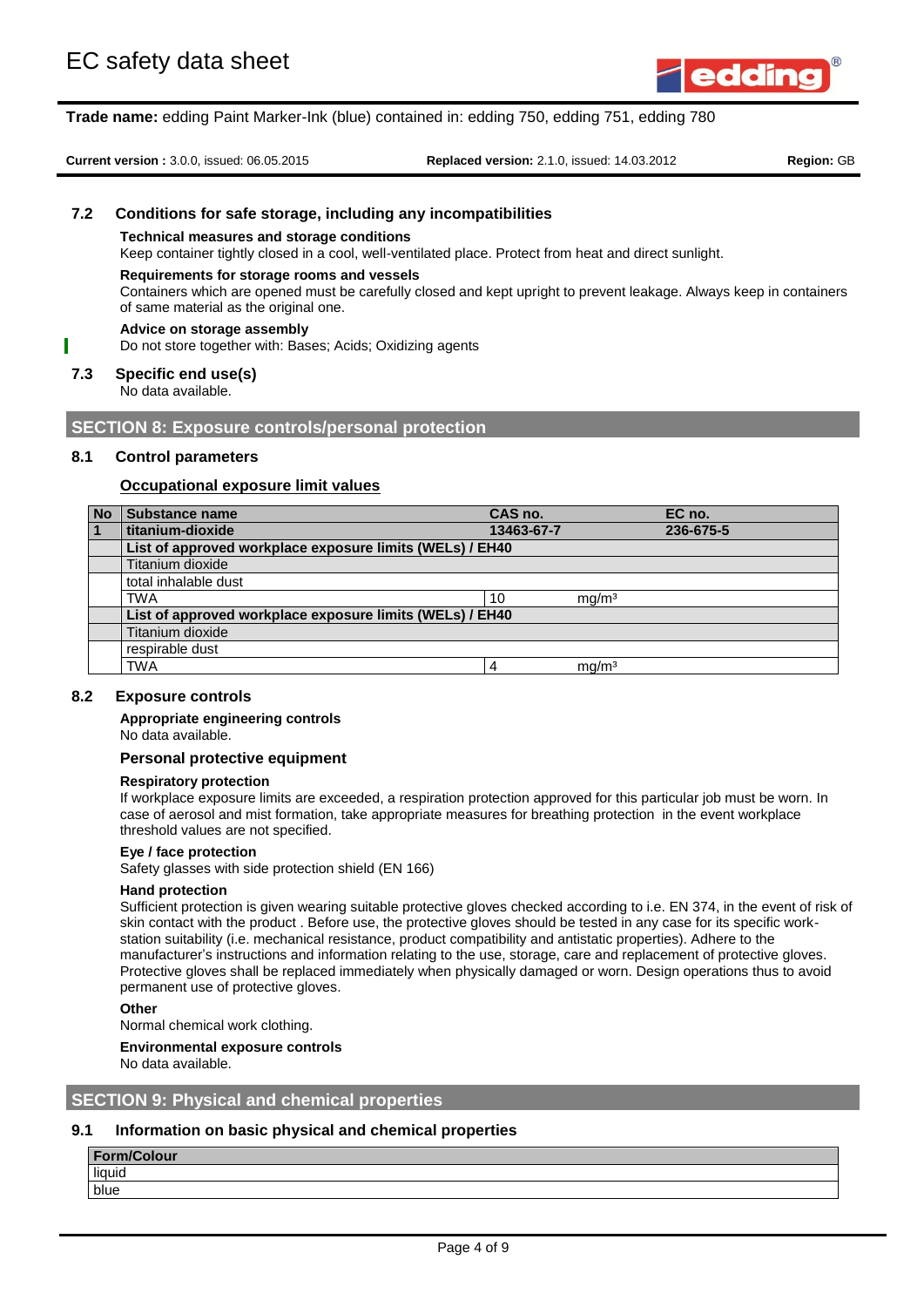

**Current version :** 3.0.0, issued: 06.05.2015 **Replaced version:** 2.1.0, issued: 14.03.2012 **Region:** GB

## **7.2 Conditions for safe storage, including any incompatibilities**

#### **Technical measures and storage conditions**

Keep container tightly closed in a cool, well-ventilated place. Protect from heat and direct sunlight.

#### **Requirements for storage rooms and vessels**

Containers which are opened must be carefully closed and kept upright to prevent leakage. Always keep in containers of same material as the original one.

#### **Advice on storage assembly**

Do not store together with: Bases; Acids; Oxidizing agents

## **7.3 Specific end use(s)**

No data available.

## **SECTION 8: Exposure controls/personal protection**

## **8.1 Control parameters**

## **Occupational exposure limit values**

| <b>No</b> | Substance name                                           | CAS no.    |                   | EC no.    |
|-----------|----------------------------------------------------------|------------|-------------------|-----------|
|           | titanium-dioxide                                         | 13463-67-7 |                   | 236-675-5 |
|           | List of approved workplace exposure limits (WELs) / EH40 |            |                   |           |
|           | Titanium dioxide                                         |            |                   |           |
|           | total inhalable dust                                     |            |                   |           |
|           | <b>TWA</b>                                               | 10         | mq/m <sup>3</sup> |           |
|           | List of approved workplace exposure limits (WELs) / EH40 |            |                   |           |
|           | Titanium dioxide                                         |            |                   |           |
|           | respirable dust                                          |            |                   |           |
|           | <b>TWA</b>                                               | 4          | mq/m <sup>3</sup> |           |

## **8.2 Exposure controls**

#### **Appropriate engineering controls**

No data available.

#### **Personal protective equipment**

#### **Respiratory protection**

If workplace exposure limits are exceeded, a respiration protection approved for this particular job must be worn. In case of aerosol and mist formation, take appropriate measures for breathing protection in the event workplace threshold values are not specified.

#### **Eye / face protection**

Safety glasses with side protection shield (EN 166)

#### **Hand protection**

Sufficient protection is given wearing suitable protective gloves checked according to i.e. EN 374, in the event of risk of skin contact with the product . Before use, the protective gloves should be tested in any case for its specific workstation suitability (i.e. mechanical resistance, product compatibility and antistatic properties). Adhere to the manufacturer's instructions and information relating to the use, storage, care and replacement of protective gloves. Protective gloves shall be replaced immediately when physically damaged or worn. Design operations thus to avoid permanent use of protective gloves.

#### **Other**

Normal chemical work clothing.

#### **Environmental exposure controls**

No data available.

## **SECTION 9: Physical and chemical properties**

## **9.1 Information on basic physical and chemical properties**

## **Form/Colour**

liquid blue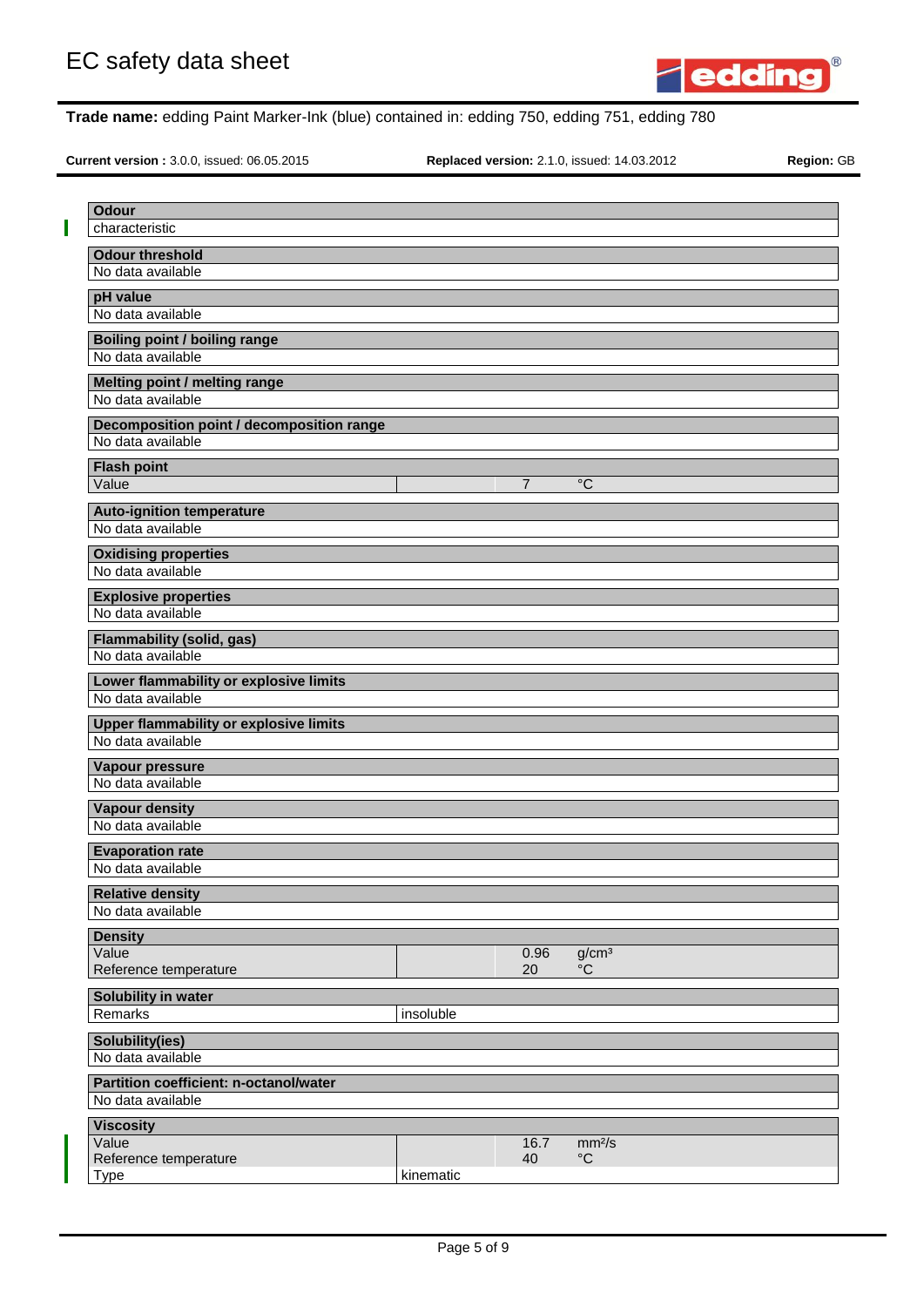

**Current version :** 3.0.0, issued: 06.05.2015 **Replaced version:** 2.1.0, issued: 14.03.2012 **Region:** GB

| <b>Odour</b>                                                |           |                |                    |  |
|-------------------------------------------------------------|-----------|----------------|--------------------|--|
| characteristic                                              |           |                |                    |  |
| <b>Odour threshold</b>                                      |           |                |                    |  |
| No data available                                           |           |                |                    |  |
| pH value                                                    |           |                |                    |  |
| No data available                                           |           |                |                    |  |
|                                                             |           |                |                    |  |
| <b>Boiling point / boiling range</b><br>No data available   |           |                |                    |  |
|                                                             |           |                |                    |  |
| Melting point / melting range                               |           |                |                    |  |
| No data available                                           |           |                |                    |  |
| Decomposition point / decomposition range                   |           |                |                    |  |
| No data available                                           |           |                |                    |  |
| <b>Flash point</b>                                          |           |                |                    |  |
| Value                                                       |           | $\overline{7}$ | $^{\circ}C$        |  |
| <b>Auto-ignition temperature</b>                            |           |                |                    |  |
| No data available                                           |           |                |                    |  |
|                                                             |           |                |                    |  |
| <b>Oxidising properties</b><br>No data available            |           |                |                    |  |
|                                                             |           |                |                    |  |
| <b>Explosive properties</b><br>No data available            |           |                |                    |  |
|                                                             |           |                |                    |  |
| <b>Flammability (solid, gas)</b>                            |           |                |                    |  |
| No data available                                           |           |                |                    |  |
| Lower flammability or explosive limits                      |           |                |                    |  |
| No data available                                           |           |                |                    |  |
| <b>Upper flammability or explosive limits</b>               |           |                |                    |  |
| No data available                                           |           |                |                    |  |
| Vapour pressure                                             |           |                |                    |  |
| No data available                                           |           |                |                    |  |
| <b>Vapour density</b>                                       |           |                |                    |  |
| No data available                                           |           |                |                    |  |
|                                                             |           |                |                    |  |
| <b>Evaporation rate</b>                                     |           |                |                    |  |
| No data available                                           |           |                |                    |  |
| <b>Relative density</b>                                     |           |                |                    |  |
| No data available                                           |           |                |                    |  |
| <b>Density</b>                                              |           |                |                    |  |
| Value                                                       |           | 0.96           | g/cm <sup>3</sup>  |  |
| Reference temperature                                       |           | 20             | $^{\circ}C$        |  |
| Solubility in water                                         |           |                |                    |  |
| Remarks                                                     | insoluble |                |                    |  |
| <b>Solubility(ies)</b>                                      |           |                |                    |  |
| No data available                                           |           |                |                    |  |
|                                                             |           |                |                    |  |
| Partition coefficient: n-octanol/water<br>No data available |           |                |                    |  |
|                                                             |           |                |                    |  |
| <b>Viscosity</b>                                            |           |                |                    |  |
| Value                                                       |           | 16.7           | mm <sup>2</sup> /s |  |
| Reference temperature<br><b>Type</b>                        | kinematic | 40             | $\rm ^{\circ}C$    |  |
|                                                             |           |                |                    |  |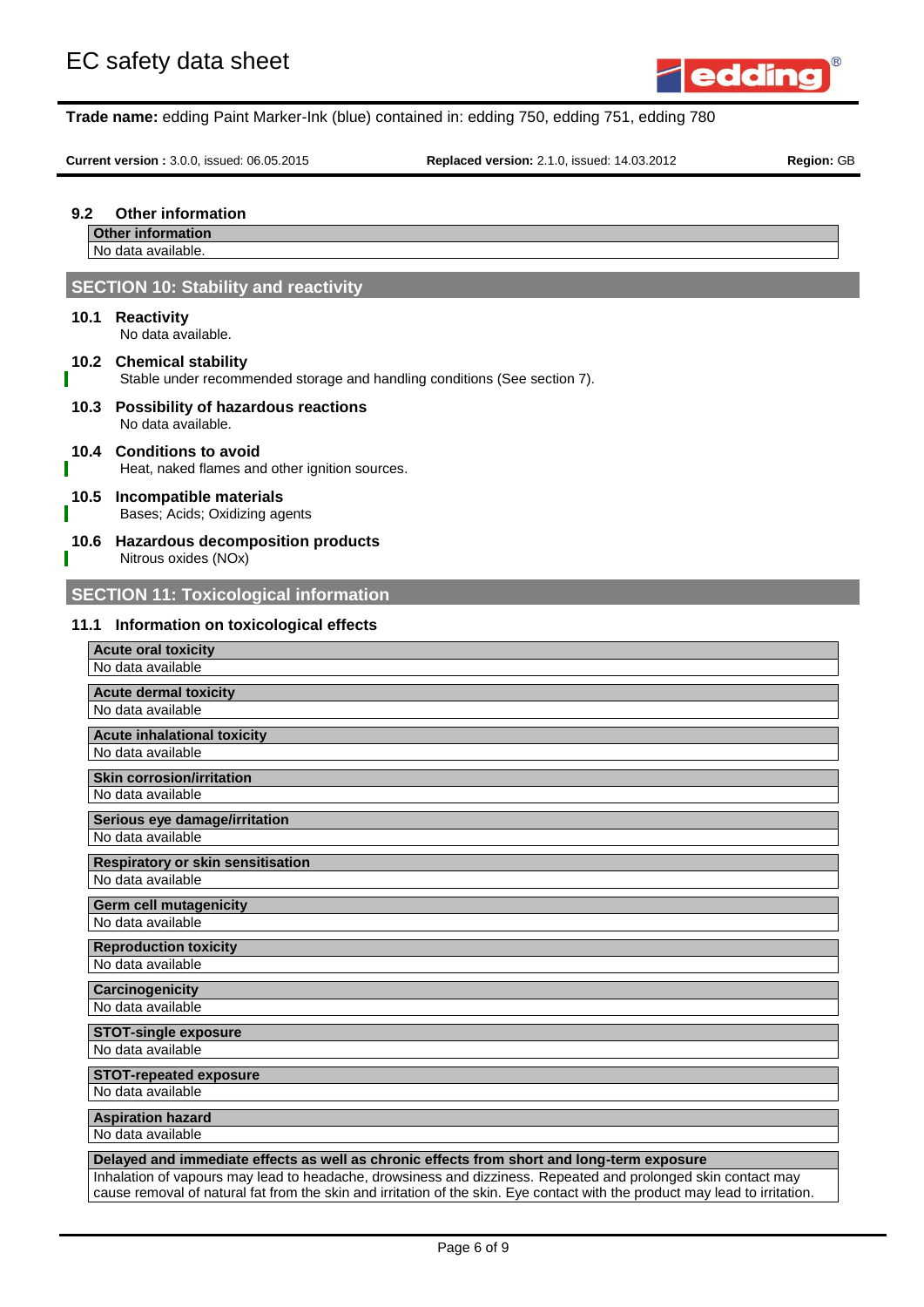

**Current version :** 3.0.0, issued: 06.05.2015 **Replaced version:** 2.1.0, issued: 14.03.2012 **Region:** GB

## **9.2 Other information**

**Other information**

No data available.

## **SECTION 10: Stability and reactivity**

## **10.1 Reactivity**

No data available.

## **10.2 Chemical stability**

Stable under recommended storage and handling conditions (See section 7).

**10.3 Possibility of hazardous reactions** No data available.

## **10.4 Conditions to avoid**

Heat, naked flames and other ignition sources.

#### **10.5 Incompatible materials** Bases; Acids; Oxidizing agents

## **10.6 Hazardous decomposition products**

Nitrous oxides (NOx)

# **SECTION 11: Toxicological information**

## **11.1 Information on toxicological effects**

| <b>Acute oral toxicity</b>                                                                                    |
|---------------------------------------------------------------------------------------------------------------|
| No data available                                                                                             |
| <b>Acute dermal toxicity</b>                                                                                  |
| No data available                                                                                             |
| <b>Acute inhalational toxicity</b>                                                                            |
| No data available                                                                                             |
|                                                                                                               |
| <b>Skin corrosion/irritation</b><br>No data available                                                         |
|                                                                                                               |
| Serious eye damage/irritation                                                                                 |
| No data available                                                                                             |
| <b>Respiratory or skin sensitisation</b>                                                                      |
| No data available                                                                                             |
| <b>Germ cell mutagenicity</b>                                                                                 |
| No data available                                                                                             |
| <b>Reproduction toxicity</b>                                                                                  |
| No data available                                                                                             |
| <b>Carcinogenicity</b>                                                                                        |
| No data available                                                                                             |
| <b>STOT-single exposure</b>                                                                                   |
| No data available                                                                                             |
|                                                                                                               |
| <b>STOT-repeated exposure</b><br>No data available                                                            |
|                                                                                                               |
| <b>Aspiration hazard</b>                                                                                      |
| No data available                                                                                             |
| Delayed and immediate effects as well as chronic effects from short and long-term exposure                    |
| Inhalation of vapours may lead to headache, drowsiness and dizziness. Repeated and prolonged skin contact may |

Inhalation of vapours may lead to headache, drowsiness and dizziness. Repeated and prolonged skin contact may cause removal of natural fat from the skin and irritation of the skin. Eye contact with the product may lead to irritation.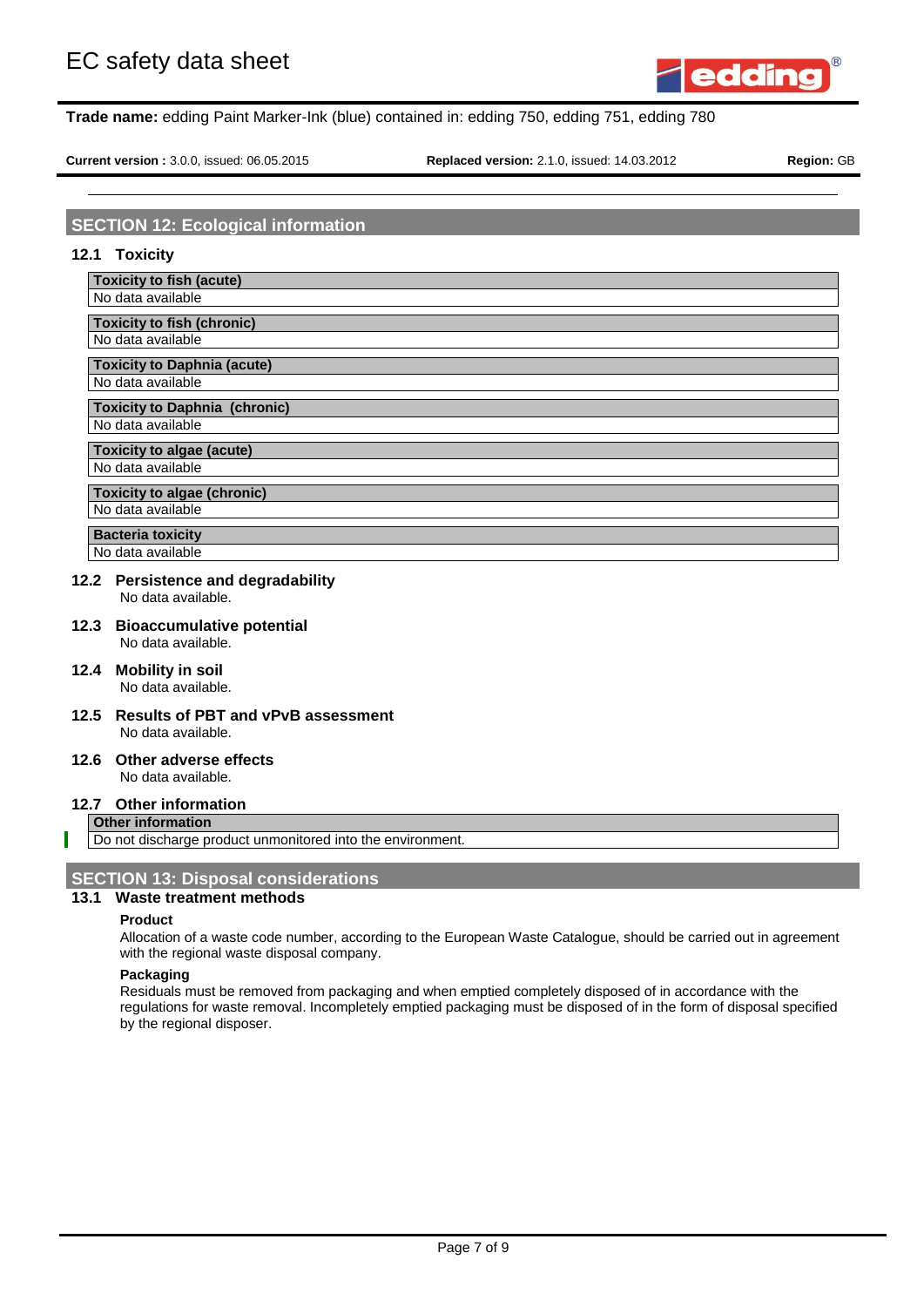

**Current version :** 3.0.0, issued: 06.05.2015 **Replaced version:** 2.1.0, issued: 14.03.2012 **Region:** GB

## **SECTION 12: Ecological information**

#### **12.1 Toxicity**

**Toxicity to fish (acute)**

# No data available

**Toxicity to fish (chronic)** No data available

**Toxicity to Daphnia (acute)** No data available

## **Toxicity to Daphnia (chronic)**

No data available

# **Toxicity to algae (acute)**

No data available

#### **Toxicity to algae (chronic)** No data available

# **Bacteria toxicity**

No data available

## **12.2 Persistence and degradability**

No data available.

#### **12.3 Bioaccumulative potential** No data available.

- **12.4 Mobility in soil** No data available.
- **12.5 Results of PBT and vPvB assessment** No data available.

#### **12.6 Other adverse effects** No data available.

## **12.7 Other information**

**Other information**

Do not discharge product unmonitored into the environment.

## **SECTION 13: Disposal considerations**

## **13.1 Waste treatment methods**

## **Product**

Allocation of a waste code number, according to the European Waste Catalogue, should be carried out in agreement with the regional waste disposal company.

## **Packaging**

Residuals must be removed from packaging and when emptied completely disposed of in accordance with the regulations for waste removal. Incompletely emptied packaging must be disposed of in the form of disposal specified by the regional disposer.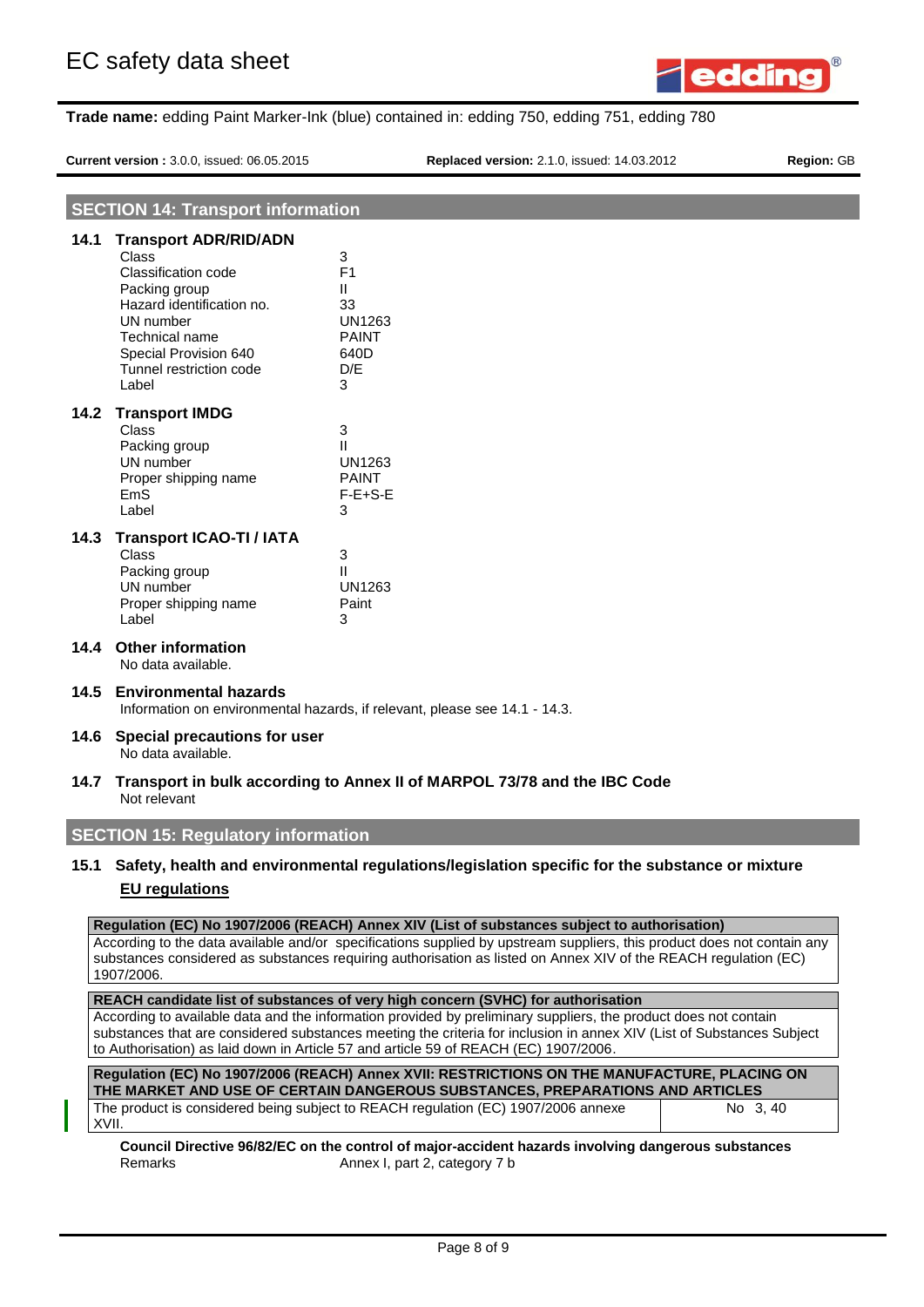

**Current version :** 3.0.0, issued: 06.05.2015 **Replaced version:** 2.1.0, issued: 14.03.2012 **Region:** GB

|      | <b>SECTION 14: Transport information</b>                                                                                                                                                               |                                                                                                                                                                                                                                                                                                                                            |
|------|--------------------------------------------------------------------------------------------------------------------------------------------------------------------------------------------------------|--------------------------------------------------------------------------------------------------------------------------------------------------------------------------------------------------------------------------------------------------------------------------------------------------------------------------------------------|
| 14.1 | <b>Transport ADR/RID/ADN</b><br>Class<br>Classification code<br>Packing group<br>Hazard identification no.<br>UN number<br>Technical name<br>Special Provision 640<br>Tunnel restriction code<br>Label | 3<br>F <sub>1</sub><br>Ш<br>33<br>UN1263<br><b>PAINT</b><br>640D<br>D/E<br>3                                                                                                                                                                                                                                                               |
| 14.2 | <b>Transport IMDG</b><br><b>Class</b><br>Packing group<br>UN number<br>Proper shipping name<br><b>EmS</b><br>Label                                                                                     | 3<br>Ш<br>UN1263<br><b>PAINT</b><br>$F-E+S-E$<br>3                                                                                                                                                                                                                                                                                         |
| 14.3 | <b>Transport ICAO-TI / IATA</b><br>Class<br>Packing group<br>UN number<br>Proper shipping name<br>Label                                                                                                | 3<br>Ш<br><b>UN1263</b><br>Paint<br>3                                                                                                                                                                                                                                                                                                      |
| 14.4 | <b>Other information</b><br>No data available.                                                                                                                                                         |                                                                                                                                                                                                                                                                                                                                            |
| 14.5 | <b>Environmental hazards</b>                                                                                                                                                                           | Information on environmental hazards, if relevant, please see 14.1 - 14.3.                                                                                                                                                                                                                                                                 |
| 14.6 | Special precautions for user<br>No data available.                                                                                                                                                     |                                                                                                                                                                                                                                                                                                                                            |
| 14.7 | Not relevant                                                                                                                                                                                           | Transport in bulk according to Annex II of MARPOL 73/78 and the IBC Code                                                                                                                                                                                                                                                                   |
|      | <b>SECTION 15: Regulatory information</b>                                                                                                                                                              |                                                                                                                                                                                                                                                                                                                                            |
|      | <b>EU</b> regulations                                                                                                                                                                                  | 15.1 Safety, health and environmental regulations/legislation specific for the substance or mixture                                                                                                                                                                                                                                        |
|      | 1907/2006.                                                                                                                                                                                             | Regulation (EC) No 1907/2006 (REACH) Annex XIV (List of substances subject to authorisation)<br>According to the data available and/or specifications supplied by upstream suppliers, this product does not contain any<br>substances considered as substances requiring authorisation as listed on Annex XIV of the REACH regulation (EC) |
|      |                                                                                                                                                                                                        | REACH candidate list of substances of very high concern (SVHC) for authorisation                                                                                                                                                                                                                                                           |
|      |                                                                                                                                                                                                        | According to available data and the information provided by preliminary suppliers, the product does not contain<br>substances that are considered substances meeting the criteria for inclusion in annex XIV (List of Substances Subject                                                                                                   |

to Authorisation) as laid down in Article 57 and article 59 of REACH (EC) 1907/2006.

| Regulation (EC) No 1907/2006 (REACH) Annex XVII: RESTRICTIONS ON THE MANUFACTURE, PLACING ON<br>THE MARKET AND USE OF CERTAIN DANGEROUS SUBSTANCES. PREPARATIONS AND ARTICLES |          |  |
|-------------------------------------------------------------------------------------------------------------------------------------------------------------------------------|----------|--|
| The product is considered being subject to REACH regulation (EC) 1907/2006 annexe<br>XVII.                                                                                    | No 3, 40 |  |

**Council Directive 96/82/EC on the control of major-accident hazards involving dangerous substances** Remarks **Annex I**, part 2, category 7 b